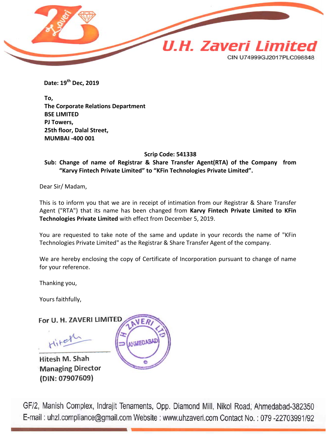

 **Date: 19th Dec, 2019** 

**To, The Corporate Relations Department BSE LIMITED PJ Towers, 25th floor, Dalal Street, MUMBAI -400 001**

**Scrip Code: 541338**

**Sub: Change of name of Registrar & Share Transfer Agent(RTA) of the Company from "Karvy Fintech Private Limited" to "KFin Technologies Private Limited".**

Dear Sir/ Madam,

This is to inform you that we are in receipt of intimation from our Registrar & Share Transfer Agent ("RTA") that its name has been changed from **Karvy Fintech Private Limited to KFin Technologies Private Limited** with effect from December 5, 2019.

You are requested to take note of the same and update in your records the name of "KFin Technologies Private Limited" as the Registrar & Share Transfer Agent of the company.

We are hereby enclosing the copy of Certificate of Incorporation pursuant to change of name for your reference.

Thanking you,

Yours faithfully,

For U. H. ZAVERI LIMITED

Hitel

Hitesh M. Shah **Managing Director** (DIN: 07907609)



GF/2, Manish Complex, Indrajit Tenaments, Opp. Diamond Mill, Nikol Road, Ahmedabad-382350 E-mail: uhzl.compliance@gmail.com Website: www.uhzaveri.com Contact No.: 079-22703991/92